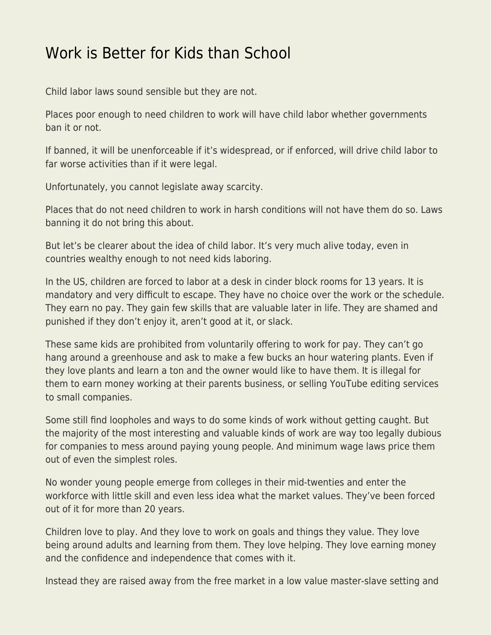## [Work is Better for Kids than School](https://everything-voluntary.com/work-is-better-for-kids-than-school)

Child labor laws sound sensible but they are not.

Places poor enough to need children to work will have child labor whether governments ban it or not.

If banned, it will be unenforceable if it's widespread, or if enforced, will drive child labor to far worse activities than if it were legal.

Unfortunately, you cannot legislate away scarcity.

Places that do not need children to work in harsh conditions will not have them do so. Laws banning it do not bring this about.

But let's be clearer about the idea of child labor. It's very much alive today, even in countries wealthy enough to not need kids laboring.

In the US, children are forced to labor at a desk in cinder block rooms for 13 years. It is mandatory and very difficult to escape. They have no choice over the work or the schedule. They earn no pay. They gain few skills that are valuable later in life. They are shamed and punished if they don't enjoy it, aren't good at it, or slack.

These same kids are prohibited from voluntarily offering to work for pay. They can't go hang around a greenhouse and ask to make a few bucks an hour watering plants. Even if they love plants and learn a ton and the owner would like to have them. It is illegal for them to earn money working at their parents business, or selling YouTube editing services to small companies.

Some still find loopholes and ways to do some kinds of work without getting caught. But the majority of the most interesting and valuable kinds of work are way too legally dubious for companies to mess around paying young people. And minimum wage laws price them out of even the simplest roles.

No wonder young people emerge from colleges in their mid-twenties and enter the workforce with little skill and even less idea what the market values. They've been forced out of it for more than 20 years.

Children love to play. And they love to work on goals and things they value. They love being around adults and learning from them. They love helping. They love earning money and the confidence and independence that comes with it.

Instead they are raised away from the free market in a low value master-slave setting and